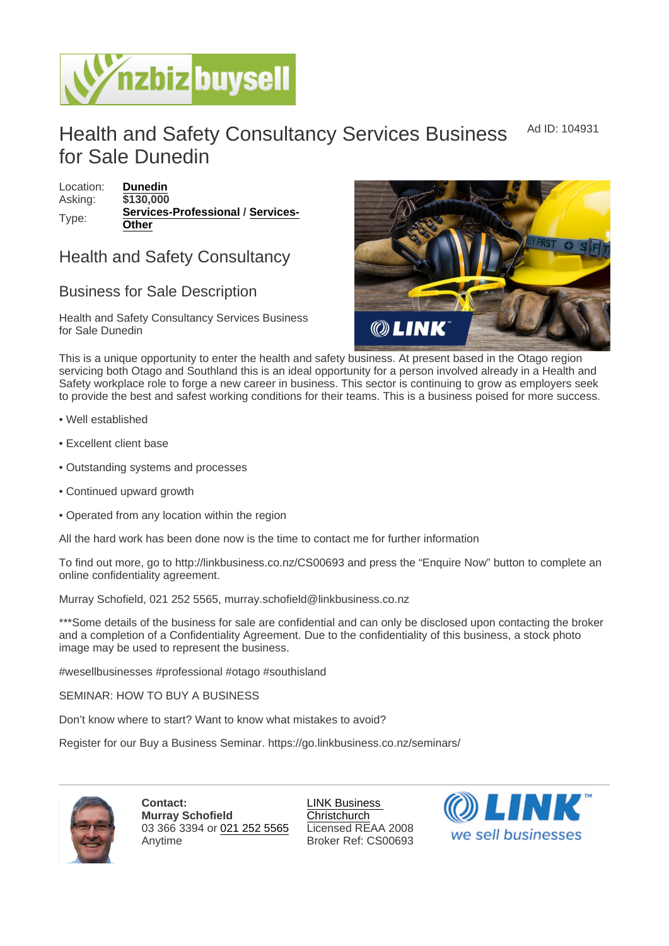## Health and Safety Consultancy Services Business for Sale Dunedin Ad ID: 104931

Location: [Dunedin](https://www.nzbizbuysell.co.nz/businesses-for-sale/location/Dunedin) Asking: \$130,000 Type: [Services-Professional](https://www.nzbizbuysell.co.nz/businesses-for-sale/Services-Professional/New-Zealand) / [Services-](https://www.nzbizbuysell.co.nz/businesses-for-sale/Services/New-Zealand)**[Other](https://www.nzbizbuysell.co.nz/businesses-for-sale/Services/New-Zealand)** 

## Health and Safety Consultancy

## Business for Sale Description

Health and Safety Consultancy Services Business for Sale Dunedin

This is a unique opportunity to enter the health and safety business. At present based in the Otago region servicing both Otago and Southland this is an ideal opportunity for a person involved already in a Health and Safety workplace role to forge a new career in business. This sector is continuing to grow as employers seek to provide the best and safest working conditions for their teams. This is a business poised for more success.

- Well established
- Excellent client base
- Outstanding systems and processes
- Continued upward growth
- Operated from any location within the region

All the hard work has been done now is the time to contact me for further information

To find out more, go to http://linkbusiness.co.nz/CS00693 and press the "Enquire Now" button to complete an online confidentiality agreement.

Murray Schofield, 021 252 5565, murray.schofield@linkbusiness.co.nz

\*\*\*Some details of the business for sale are confidential and can only be disclosed upon contacting the broker and a completion of a Confidentiality Agreement. Due to the confidentiality of this business, a stock photo image may be used to represent the business.

#wesellbusinesses #professional #otago #southisland

SEMINAR: HOW TO BUY A BUSINESS

Don't know where to start? Want to know what mistakes to avoid?

Register for our Buy a Business Seminar. https://go.linkbusiness.co.nz/seminars/

Contact: Murray Schofield 03 366 3394 or [021 252 5565](tel:021 252 5565) Anytime

[LINK Business](https://www.nzbizbuysell.co.nz/business-brokers/52/link-business-christchurch/brokerage-listings)  **[Christchurch](https://www.nzbizbuysell.co.nz/business-brokers/52/link-business-christchurch/brokerage-listings)** Licensed REAA 2008 Broker Ref: CS00693